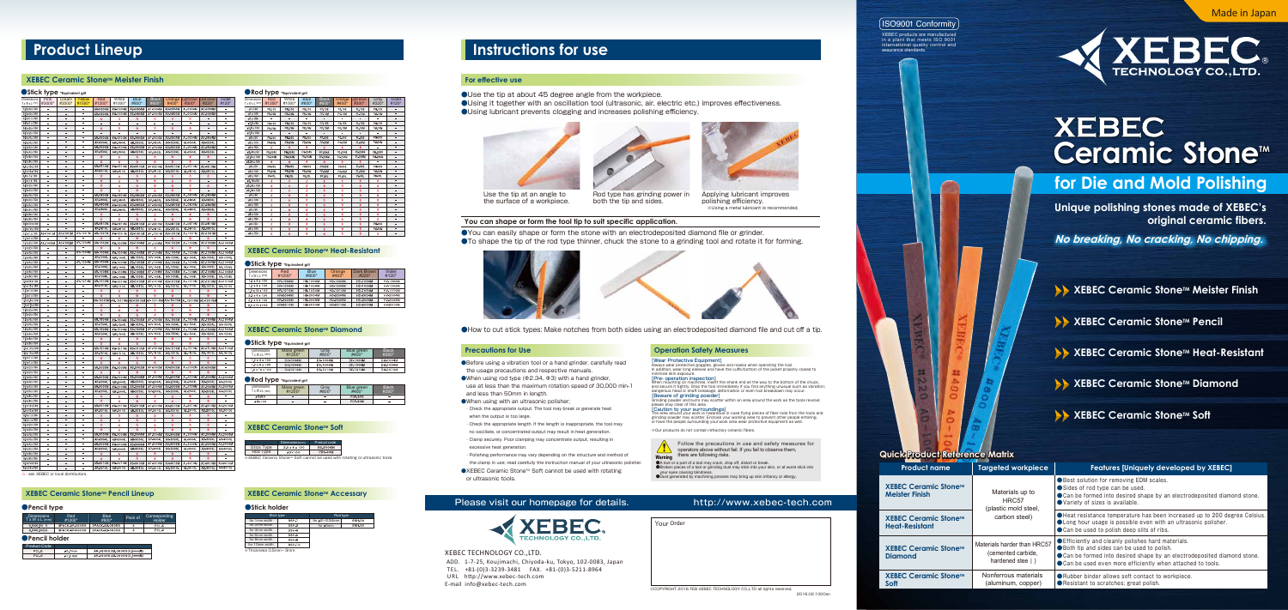#### **XEBEC Ceramic Stone™ Meister Finish**

#### ●**Stick type** \*Equivalent grit

#### **For effective use**

OUse the tip at about 45 degree angle from the workpiece. ●Using it together with an oscillation tool (ultrasonic, air, electric etc.) improves effectiveness. ●Using lubricant prevents clogging and increases polishing efficiency.

●You can easily shape or form the stone with an electrodeposited diamond file or grinder. ●To shape the tip of the rod type thinner, chuck the stone to a grinding tool and rotate it for forming.









●How to cut stick types: Make notches from both sides using an electrodeposited diamond file and cut off a tip.

- ●Before using a vibration tool or a hand grinder, carefully read the usage precautions and respective manuals.
- $\bullet$ When using rod type ( $\Phi$ 2.34,  $\Phi$ 3) with a hand grinder, use at less than the maximum rotation speed of 30,000 min-1 and less than 50mm in length.
- ●When using with an ultrasonic polisher;
- ・Check the appropriate output. The tool may break or generate heat when the output is too large.
- ・Check the appropriate length. If the length is inappropriate, the tool may
- no oscillate, or concentrated output may result in heat generation. ・Clamp securely. Poor clamping may concentrate output, resulting in
- excessive heat generation.
- ・Polishing performance may vary depending on the structure and method of the clamp in use; read carefully the instruction manual of your ultrasonic polisher.
- ●XEBEC Ceramic Stone™ Soft cannot be used with rotating or ultrasonic tools.
- 

### Please visit our homepage for details. http://www.xebec-tech.com



#### **You can shape or form the tool tip to suit specific application.**

Use the tip at an angle to the surface of a workpiece.

Rod type has grinding power in both the tip and sides.

Applying lubricant improves polishing efficiency. ※Using a metal lubricant is recommended.

#### **Precautions for Use 2020 The Contract Operation Safety Measures**

[Wear Protective Equipment]<br>Always wear protective goggles, gloves and masks when operating the tool.<br>In addition, wear long sleeves and have the cuffs/bottom of the jacket properly closed to<br>minimize skin exposure.<br>[Pre-

When mounting on machines, insert the shank end all the way to the bottom of the chuck,<br>and secure it tightly. Stop the tool immediately if you find anything unusual such as vibration;<br>dangerous head or shaft breakage, def

XEBEC TECHNOLOGY CO.,LTD.

 ADD. 1-7-25, Koujimachi, Chiyoda-ku, Tokyo, 102-0083, Japan TEL. +81-(0)3-3239-3481 FAX. +81-(0)3-5211-8964 URL http://www.xebec-tech.com E-mail info@xebec-tech.com



your eyes causing blindness. ●Dust generated by machining process may bring up skin irritancy or allergy.

[Beware of grinding powder] Grinding powder and burrs may scatter within an area around the work as the tools revolve; please stay clear of this area. [Caution to your surroundings]

The area around your work is hazardous in case flying pieces of fiber rods from the tools and<br>grinding powder may scatter. Enclose your working area to prevent other people entering,<br>or have the people surrounding your wor

※Our products do not contain refractory ceramic fibers.

**Quick Product Reference Matrix**

| <b>Product name</b>                                                                                                                   | <b>Targeted workpiece</b>                        | <b>Features [Uniquely developed by XEBEC]</b>                                                                                                                                                                                                |
|---------------------------------------------------------------------------------------------------------------------------------------|--------------------------------------------------|----------------------------------------------------------------------------------------------------------------------------------------------------------------------------------------------------------------------------------------------|
| <b>XEBEC Ceramic Stone™</b><br><b>Meister Finish</b>                                                                                  | Materials up to<br>HRC57<br>(plastic mold steel, | ● Best solution for removing EDM scales.<br>Sides of rod type can be used.<br>● Can be formed into desired shape by an electrodeposited diamond stone.<br>● Variety of sizes is available.                                                   |
| <b>XEBEC Ceramic Stone™</b><br><b>Heat-Resistant</b>                                                                                  | carbon steel)                                    | ● Heat resistance temperature has been increased up to 200 degree Celsius.<br>● Long hour usage is possible even with an ultrasonic polisher.<br>● Can be used to polish deep slits of ribs.                                                 |
| Materials harder than HRC57<br><b>XEBEC Ceramic Stone™</b><br>(cemented carbide,<br><b>Diamond</b><br>hardened stee $\vert \ \rangle$ |                                                  | ● Efficiently and cleanly polishes hard materials.<br>● Both tip and sides can be used to polish.<br>● Can be formed into desired shape by an electrodeposited diamond stone.<br>● Can be used even more efficiently when attached to tools. |
| <b>XEBEC Ceramic Stone™</b><br>Soft                                                                                                   | Nonferrous materials<br>(aluminum, copper)       | Rubber binder allows soft contact to workpiece.<br>● Resistant to scratches; great polish.                                                                                                                                                   |



**Unique polishing stones made of XEBEC's original ceramic fibers.**

**No breaking, No cracking, No chipping.**

**EXEBEC Ceramic Stone™ Meister Finish** 

**EXEBEC Ceramic Stone™ Pencil** 

- **EXEBEC Ceramic Stone™ Heat-Resistant**
- **EXEBEC Ceramic Stone™ Diamond**

### **EXEBEC Ceramic Stone™ Soft**

### ISO9001 Conformity

XEBEC products are manufactured in a plant that meets ISO 9001 international quality control and assurance standards.

#### ●**Rod type \*Equivalent grit**

※XEBEC Ceramic StoneTM Soft cannot be used with rotating or ultrasonic tools.

#### **XEBEC Ceramic Stone™ Accessary**

#### ●**Pencil type** ● ●Stick holder

☆:ask XEBEC or local distributors.

#### **XEBEC Ceramic Stone™ Pencil Lineup**

| <b>Dimensions</b><br>TxWxL(mm) | Red<br>#1200* | <b>White</b><br>#1000* | Blue<br>#800* | <b>Black</b><br>#600*    | Orange<br>$#400*$ | Light Brown<br>#300* | Gray<br>#220* | Violet<br>#120*          |
|--------------------------------|---------------|------------------------|---------------|--------------------------|-------------------|----------------------|---------------|--------------------------|
| $a1 \times 50$                 | PR-10S        | <b>PW-10S</b>          | PB-10S        | PP-10S                   | PO-10S            | $P1 - 10S$           | <b>PM-10S</b> | -                        |
| ø1 x 100                       | PR-10M        | PW-10M                 | PB-10M        | PP-10M                   | PO-10M            | <b>PL-10M</b>        | PM-10M        |                          |
| ø1 x 150                       | ÷             |                        | ۳             | $\overline{\phantom{a}}$ | ۳                 |                      | ۳             | -                        |
| ø1.5 x 50                      | PR-15S        | PW-15S                 | PB-15S        | PP-15S                   | PO-15S            | PI-15S               | PM-15S        |                          |
| ø1.5 x 100                     | PR-15M        | PW-15M                 | PB-15M        | PP-15M                   | PO-15M            | PL-15M               | PM-15M        | -                        |
| ø1.5 x 150                     |               |                        |               |                          |                   |                      |               |                          |
| e2 x 50                        | PR-20S        | PW-20S                 | PB-20S        | PP-20S                   | PO-20S            | PL-20S               | PM-20S        | ۰                        |
| e2 x 100                       | PR-20M        | <b>PW-20M</b>          | <b>PB-20M</b> | PP-20M                   | PO-20M            | PL-20M               | <b>PM-20M</b> |                          |
| a2 x 150                       | ÷             | ÷                      | ÷             | ÷                        | ÷                 | ÷                    |               | -                        |
| ø2.34 x 50                     | PR-234S       | PW-234S                | PB-234S       | PP-234S                  | PO-234S           | PL-234S              | PM-234S       |                          |
| a2.34 x 100                    | PR-234M       | PW-234M                | PR-234M       | PP-234M                  | P0-234M           | PL-234M              | PM-234M       | -                        |
| a2.34 x 150                    |               | ÷                      | ÷             | ÷.                       |                   | ÷                    |               |                          |
| a3 x 50                        | PR-30S        | <b>PW-30S</b>          | PB-30S        | PP-30S                   | PO-30S            | PL-30S               | <b>PM-30S</b> | -                        |
| e3 x 100                       | PR-30M        | PW-30M                 | PB-30M        | PP-30M                   | PO-30M            | PL-30M               | PM-30M        | ۰                        |
| e3 x 150                       | PR-30L        | PW-30L                 | PB-30L        | PP-30L                   | P0-30L            | PL-30L               | PM-30L        | -                        |
| ø3.18 x 50                     | ÷             | Ř                      | ŵ             | ÷                        | ŵ                 | ŵ.                   | ŵ             |                          |
| ø3.18 x 100                    | 슞             | ŵ                      | ŵ             | 슍                        | 슢                 | ŵ                    | ŵ             | -                        |
| ø3.18 x 150                    | 슢             | $\frac{1}{M}$          | ŵ             | ř                        | ŵ                 | Ř                    | ŵ             | -                        |
| a4 x 50                        | ė             | 츘                      | ŵ             | 壺                        | ŵ                 | ŵ                    | ŵ             | -                        |
| e4 x 100                       | 슞             | ŵ                      | ŵ             | 奁                        | ŵ                 | Ý.                   | ŵ             | -                        |
| e4 x 150                       | 슞             | Ř                      | ŵ             | 奁                        | 슢                 | Ř                    | ŵ             | -                        |
| ø5 x 50                        | 슢             | $\frac{1}{M}$          | ŵ             | 츘                        | ŵ                 | ŵ                    | ŵ             | -                        |
| e5 x 100                       | ė             | 츘                      | ŵ             | Ŷ.                       | ☆                 | ŵ                    | ŵ             |                          |
| ø5 x 150                       | 슞             | $\frac{1}{M}$          | ŵ             | $\frac{1}{K}$            | ŵ                 | 츘                    | ÷             | -                        |
| ø6 x 50                        | 슢             | $\frac{1}{M}$          | ŵ             | 츘                        | 슢                 | Ř                    | <b>PM-60S</b> | $\overline{\phantom{0}}$ |
| e6 x 100                       | 줖             | Ŷ.                     | ŵ             | 츘                        | ŵ                 | ŵ                    | <b>PM-60M</b> | -                        |
| e6 x 150                       | ė             | Ŷ.                     | ŵ             | 奁                        | ŵ                 | ŵ                    | 슢             | -                        |

#### **XEBEC Ceramic Stone™ Heat-Resistant**

#### **Stick type \*Equivalent grit**

| Dimensions<br>TxWxL(mm)                                 | .,<br>Pink<br>#3000* | Cream<br>#2000*            | Yellow<br>#1500*         | Red<br>#1200*        | White<br>#1000*                         | <b>Blue</b><br>#800*                                        | <b>Black</b><br>#600* | Orange<br>#400*           | <b>Light Brown</b><br>#300* | Dark Brown<br>#220*  | Violet<br>#120*      |
|---------------------------------------------------------|----------------------|----------------------------|--------------------------|----------------------|-----------------------------------------|-------------------------------------------------------------|-----------------------|---------------------------|-----------------------------|----------------------|----------------------|
| $0.3 \times 4 \times 100$                               |                      |                            |                          | AR-0304M             | AW-0304M                                | AB-0304M                                                    | AP-0304M              | AO-0304M                  | AL-0304M                    | AD-0304M             |                      |
| $0.4 \times 4 \times 100$                               |                      |                            |                          | AR-0404M             | AW-0404M                                | AB-0404M                                                    | AP-0404M              | AO-0404M                  | AL-0404M                    | AD-0404M             |                      |
| $0.5 \times 1 \times 100$                               |                      | $\equiv$                   |                          |                      |                                         |                                                             |                       |                           |                             |                      |                      |
| $0.5 \times 1 \times 150$                               |                      | $\overline{a}$             | Ξ<br>Ĭ.                  | $\frac{1}{2}$        | ÷                                       | W                                                           |                       | $\Delta r$                | é,                          |                      | Ξ                    |
| $0.5 \times 2 \times 100$<br>$0.5 \times 2 \times 150$  | Ξ                    | Ξ                          | Ξ                        |                      |                                         |                                                             | Ř                     |                           |                             |                      | Ξ                    |
| $0.5 \times 4 \times 100$                               |                      | Ξ                          | Ξ                        | AR-0504M             | AW-0504M                                | AB-0504M                                                    | AP-0504M              | AO-0504M                  | AL-0504M                    | AD-0504M             |                      |
| $0.5 \times 4 \times 150$                               | $\equiv$             | $\equiv$                   | $\equiv$                 | AR-0504L             | AW-0504L                                | AB-0504L                                                    | AP-0504L              | A0-0504L                  | AL-0504L                    | AD-0504L             | $\equiv$             |
| $0.5 \times 6 \times 100$                               | $\equiv$             | $\qquad \qquad -$          | Ξ                        | AR-0506M             | AW-0506M                                | AB-0506M                                                    | AP-0506M              | AO-0506M                  | AL-0506M                    | AD-0506M             | $\equiv$             |
| 0.5 x 6 x 150                                           |                      | -                          |                          | AR-0506L             | AW-0506L                                | AB-0506L                                                    | AP-0506L              | A0-0506L                  | AL-0506L                    | AD-0506L             |                      |
| $0.5 \times 8 \times 100$                               |                      | Ξ                          | Ξ                        | Ŕ                    | Ŕ                                       | ☆                                                           | Ŕ                     | Ř                         | Ř                           | Ŕ                    |                      |
| $0.5 \times 8 \times 150$<br>0.5 x 10 x 100             | ÷                    | Ξ<br>$\equiv$              | $\rightarrow$            | AR-0510M             | ÷<br>AW-0510M                           | AB-0510M                                                    | ÷<br>AP-0510M         | AO-0510M                  | AL-0510M                    | AD-0510M             | ÷                    |
| 0.5 x 10 x 150                                          |                      | L,                         | Ξ                        | AR-0510L             | AW-0510L                                | AB-0510L                                                    | AP-0510L              | A0-0510L                  | AL-0510L                    | AD-0510L             |                      |
| $0.8 \times 1 \times 100$                               |                      | $\overline{a}$             |                          |                      |                                         |                                                             |                       |                           |                             |                      |                      |
| $0.8 \times 1 \times 150$                               | Ξ                    | Ξ                          | Ξ                        | 슞                    | ÷                                       | ŵ                                                           | ☆                     | ÷                         | Ř                           |                      | Ξ                    |
| $0.8 \times 2 \times 100$                               | Ξ                    | Ξ                          | Ξ                        | $\frac{1}{2\zeta}$   | 즂                                       | ŵ                                                           | 즂                     | $\frac{1}{N}$             | 즂                           | 즆                    | Ξ                    |
| $0.8 \times 2 \times 150$                               | ÷                    | $\equiv$                   | $\overline{a}$           | ÷                    | ÷                                       | ₩                                                           | ó,                    | ŵ                         | ÷                           | $\equiv$             | ÷,                   |
| $0.8 \times 4 \times 100$                               |                      | $\equiv$                   | Ξ                        | AR-0804M             | AW-0804M                                | AB-0804M                                                    | AP-0804M              | AO-0804M                  | AL-0804M                    | AD-0804M             | $\equiv$             |
| $0.8 \times 4 \times 150$                               |                      | -                          | ÷                        | AR-0804L<br>AR-0806M | AW-0804L                                | AB-0804L                                                    | AP-0804L              | A0-0804L                  | AL-0804L<br>AL-ORDBM        | AD-0804L             |                      |
| $0.8 \times 6 \times 100$<br>$0.8 \times 6 \times 150$  | -                    |                            |                          | AR-0806L             | AW-0806M                                | AB-0806M<br>AB-0806L                                        | AP-0806M<br>AP-0806L  | AO-0806M<br>A0-0806L      | AL-0806L                    | AD-0806M<br>AD-0806L | ÷                    |
| $0.8 \times 8 \times 100$                               |                      | Ξ                          |                          |                      | AW-0806L                                |                                                             |                       |                           |                             |                      |                      |
| $0.8 \times 8 \times 150$                               |                      |                            | $\overline{a}$           |                      |                                         |                                                             |                       |                           |                             |                      |                      |
| $0.8 \times 10 \times 100$                              |                      | $\equiv$                   | Ξ                        | AR-0810M             | AW-0810M                                | AB-0810M                                                    | AP-0810M              | AO-0810M                  | AL-0810M                    | AD-0810M             |                      |
| 0.8 x 10 x 150                                          |                      |                            |                          | AR-0810L             | AW-0810L                                | AB-0810L                                                    | AP-0810L              | A0-0810L                  | AL-0810L                    | AD-0810L             |                      |
| $1.0 \times 1 \times 100$                               | AS-1001M             | AC-1001M                   | AY-1001M                 | AR-1001M             | AW-1001M                                | AB-1001M                                                    | AP-1001M              | AO-1001M                  | AL-1001M                    | AD-1001M             | Ξ                    |
| 1.0 x 1 x 150                                           |                      |                            |                          |                      |                                         |                                                             |                       |                           |                             |                      |                      |
| $1.0 \times 2 \times 100$                               | AS-1002M             | AC-1002M                   | AY-1002M<br>$\equiv$     | AR-1002M             | AW-1002M                                | AB-1004M                                                    | AP-1002M              | AO-1002M<br>$\frac{1}{2}$ | AL-1002M                    | AD-1002M             | AV-1002M             |
| $1.0 \times 2 \times 150$                               |                      |                            | AY-1004M                 | ÷<br>AR-1004M        | $\mathcal{A}_{\mathcal{T}}$<br>AW-1004M | 壺                                                           | ÷<br>AP-1004M         | AO-1004M                  | ÷<br>AL-1004M               | 奇                    | AV-1004M             |
| 1.0 x 4 x 100<br>1.0 x 4 x 150                          |                      | $\qquad \qquad -$          | -                        | AR-1004L             | AW-1004L                                | AB-1004M<br>AB-1004L                                        | AP-1004L              | AO-1004L                  | AL-1004L                    | AD-1004M<br>AD-1004L | AV-1004L             |
| $1.0 \times 6 \times 100$                               | $\equiv$             |                            | AY-1006M                 | AR-1006M             | <b>AW-1006M</b>                         | AB-1006M                                                    | AP-1006M              | AO-1006M                  | AL-1006M                    | AD-1006M             | AV-1006M             |
| $1.0 \times 6 \times 150$                               |                      |                            |                          | AR-1006L             | AW-1006L                                | AB-1006L                                                    | AP-1006L              | AO-1006L                  | AL-1006L                    | AD-1006L             | AV-1006L             |
| $1.0 \times 8 \times 100$                               |                      |                            |                          | AR-1008M             | AW-1008M                                | AB-1008M                                                    | AP-1008M              | AO-1008M                  | AL-1008M                    | AD-1008M             | AV-1008M             |
| $1.0 \times 8 \times 150$                               | ÷,                   | L,                         |                          | AR-1008L             | AW-1008L                                | AB-1008L                                                    | AP-1008L              | A0-1008L                  | AL-1008L                    | AD-1008L             | AV-1008L             |
| $1.0 \times 10 \times 100$                              |                      | Ξ                          | AY-1010M                 | AR-1010M             | AW-1010M                                | AB-1010M                                                    | AP-1010M              | AO-1010M                  | AL-1010M                    | AD-1010M             | AV-1010M             |
| $1.0 \times 10 \times 150$                              |                      | Ξ                          | Ξ                        | AR-1010L             | AW-1010L                                | AB-1010L                                                    | AP-1010L              | AO-1010L                  | AL-1010L                    | AD-1010L             | AV-1010L             |
| $1.5 \times 1 \times 100$                               |                      | Ξ<br>$\frac{1}{2}$         | $\overline{a}$           |                      |                                         |                                                             |                       |                           |                             |                      | $\equiv$             |
| 1.5 x 1 x 150<br>$1.5 \times 1.5 \times 100$            | ÷,                   | $\equiv$                   | $\equiv$                 | AR-15015M            |                                         | AW-15015M AB-15015M AP-15015M AO-15015M AL-15015M AD-15015M |                       |                           |                             | ☆                    | ÷                    |
| $1.5 \times 1.5 \times 150$                             | -                    | $\overline{a}$             | $\qquad \qquad -$        | $\frac{1}{24}$       | $\frac{1}{26}$                          | ☆                                                           | Ř                     | Ř                         | $\dot{\mathbf{x}}$          | ☆                    | ÷                    |
| $1,5 \times 2 \times 100$                               |                      | $\equiv$                   | $\frac{1}{1}$            | Ŕ                    | Ř                                       | 瘿                                                           | Ř                     | Ň                         | Ř                           | ŵ                    |                      |
| 1.5 x 2 x 150                                           | -                    |                            |                          |                      | ź                                       |                                                             |                       |                           |                             |                      |                      |
| 1.5x4x100                                               |                      |                            |                          | AR-1504M             | AW-1504M                                | AB-1504M                                                    | AP-1504M              | AO-1504M                  | AL-1504M                    | AD-1504M             | AV-1504M             |
| 1.5 x 4 x 150                                           |                      |                            | L,                       | AR-1504L             | AW-1504L                                | AB-1504L                                                    | AP-1504L              | AO-1504L                  | AL-1504L                    | AD-1504L             | AV-1504L             |
| $1.5 \times 6 \times 100$                               |                      |                            | L                        | AR-1506M             | AW-1506M                                | AB-1506M                                                    | AP-1506M              | AO-1506M                  | AL-1506M                    |                      |                      |
| $1.5 \times 6 \times 150$<br>$1.5 \times 8 \times 100$  | L.                   | $\overline{a}$             | $\overline{a}$           | AR-1506L             | AW-1506L                                | AB-1506L                                                    |                       |                           |                             | AD-1506M             | AV-1506M             |
| $1.5 \times 8 \times 150$                               |                      |                            |                          |                      |                                         |                                                             | AP-1506L              | AO-1506L                  | AL-1506L                    | AD-1506L             | AV-1506L             |
| 1.5 x 10 x 100                                          |                      |                            |                          |                      |                                         |                                                             |                       |                           |                             |                      | L.                   |
| $1.5 \times 10 \times 150$                              |                      | Ξ<br>$\overline{a}$        | Ξ<br>$\overline{a}$      |                      |                                         |                                                             |                       |                           | ÷                           |                      | AV-1510M             |
|                                                         | $\qquad \qquad -$    | $\qquad \qquad -$          |                          | AR-1510M             | AW-1510M                                | AB-1510M                                                    | AP-1510M              | AO-1510M                  | AL-1510M<br>AL-1510L        | AD-1510M<br>AD-1510L |                      |
| $2.0 \times 1 \times 100$                               |                      | $\overline{a}$             | $\overline{\phantom{0}}$ | AR-1510L<br>Ŕ        | AW-1510L<br>Ř                           | AB-1510L<br>貴                                               | AP-1510L<br>Ŕ         | A0-1510L<br>☆             | Ý,                          | ☆                    | AV-1510L<br>÷        |
| 2.0 x 1 x 150                                           | -                    | L                          | Ξ                        |                      | ė                                       |                                                             |                       |                           |                             |                      |                      |
| $2.0 \times 2 \times 100$                               |                      |                            | Ξ                        | AR-2002M             | AW-2002M                                | AB-2002M                                                    | AP-2002M              | AO-2002M                  | AL-2002M                    | AD-2002M             |                      |
| 2.0 x 2 x 150                                           |                      |                            |                          |                      |                                         |                                                             |                       |                           |                             |                      |                      |
| 2.0 x 4 x 100                                           |                      | $\equiv$                   | E                        | AR-2004M             | AW-2004M                                | AB-2004M                                                    | AP-2004M              | AO-2004M                  | AL-2004M                    | AD-2004M             | AV-2004M             |
| 2.0 x 4 x 150                                           |                      | Ξ                          | Ξ                        | AR-2004L             | AW-2004L                                | AB-2004L                                                    | AP-2004L              | A0-2004L                  | AL-2004L                    | AD-2004L             | AV-2004L             |
| $2.0 \times 6 \times 100$                               | L                    | Ξ                          | Ξ                        | AR-2006M             | AW-2006M                                | AB-2006M                                                    | AP-2006M              | AQ-2006M                  | AL-2006M                    | AD-2006M             | AV-2006M             |
| 2.0 x 6 x 150                                           |                      | $\overline{a}$<br>$\equiv$ | Ξ<br>$\equiv$            | AR-2006L             | AW-2006L                                | AB-2006L                                                    | AP-2006L              | A0-2006L                  | AL-2006L<br>Ř               | AD-2006L             | AV-2006L             |
| 20x8x100                                                | ÷                    | $\overline{\phantom{0}}$   | ÷                        |                      | w                                       |                                                             | ÷                     |                           | ٠                           |                      | $\equiv$             |
| $2.0 \times 8 \times 150$<br>$2.0 \times 10 \times 100$ |                      | $\qquad \qquad -$          | $\equiv$                 | AR-2010M             | AW-2010M                                | AB-2010M                                                    | AP-2010M              | AO-2010M                  | AL-2010M                    | AD-2010M             | AV-2010M             |
| 2.0 x 10 x 150                                          | $\qquad \qquad -$    | $\equiv$                   | Ξ                        | AR-2010L             | AW-2010L                                | AB-2010L                                                    | AP-2010L              | A0-2010L                  | AL-2010L                    | AD-2010L             | AV-2010L             |
| $3.0 \times 1 \times 100$                               | -                    |                            | Ξ                        |                      |                                         |                                                             |                       |                           |                             |                      |                      |
| $3.0 \times 1 \times 150$                               |                      | $\equiv$                   | $\equiv$                 |                      |                                         |                                                             |                       |                           |                             | Ŵ                    |                      |
| $3.0 \times 2 \times 100$                               |                      |                            | Ē.                       |                      |                                         |                                                             |                       |                           |                             |                      | Ē.                   |
| $3.0 \times 2 \times 150$                               |                      | Ξ                          | Ξ                        |                      |                                         |                                                             |                       |                           |                             |                      |                      |
| 3.0 x 4 x 100                                           |                      | Ξ<br>Ξ                     |                          | AR-3004M             | AW-3004M                                | AB-3004M                                                    | AP-3004M              | AO-3004M                  | AL-3004M                    | AD-3004M             | AV-3004M             |
| 3.0 x 4 x 150                                           | ÷,                   | Ξ                          | $\equiv$<br>Ξ            | AR-3004L             | AW-3004L                                | AB-3004L                                                    | AP-3004L              | A0-3004L                  | AL-3004L                    | AD-3004L             | AV-3004L             |
| $3.0 \times 6 \times 100$                               | ÷                    | $\overline{a}$             |                          | AR-3006M             | AW-3006M                                | AB-3006M                                                    | AP-3006M              | AO-3006M                  | AL-3006M                    | AD-3006M             | AV-3006M             |
| 3.0 x 6 x 150<br>$3.0 \times 8 \times 100$              | $\qquad \qquad -$    | $\overline{\phantom{0}}$   | $\overline{a}$           | AR-3006L             | AW-3006L                                | AB-3006L                                                    | AP-3006L<br>Ŕ         | A0-3006L                  | AL-3006L<br>ŵ               | AD-3006L             | AV-3006L             |
| $3.0 \times 8 \times 150$                               | $\equiv$             | $\overline{a}$             | $\equiv$                 | ÷                    | ÷                                       | 貴                                                           | 壺                     | ☆                         | ŵ                           | ☆                    |                      |
| $3.0 \times 10 \times 100$<br>3,0 x 10 x 150            |                      |                            | $\equiv$                 | AR-3010M<br>AR-3010L | AW-3010M<br>AW-3010L                    | AB-3010M<br>AB-3010L                                        | AP-3010M<br>AP-3010L  | AO-3010M<br>A0-3010L      | AL-3010M<br>AL-3010L        | AD-3010M<br>AD-3010L | AV-3010M<br>AV-3010L |

| <b>Dimensions</b><br>TxWxL(mm) | Red<br>#1200*   | Blue<br>#800*   | Orange<br>#400 <sup>*</sup> | Dark Brown<br>$#220*$ | Violet<br>$#120*$ |
|--------------------------------|-----------------|-----------------|-----------------------------|-----------------------|-------------------|
| $1.0 \times 4 \times 100$      | HR-1004M        | HB-1004M        | HO-1004M                    | HD-1004M              | HV-1004M          |
| $1.0 \times 6 \times 100$      | <b>HR-1006M</b> | <b>HB-1006M</b> | HO-1006M                    | <b>HD-1006M</b>       | <b>HV-1006M</b>   |
| $1.0 \times 10 \times 100$     | HR-1010M        | HB-1010M        | HO-1010M                    | HD-1010M              | HV-1010M          |
| $2.0 \times 4 \times 100$      | HR-2004M        | HB-2004M        | HO-2004M                    | HD-2004M              | HV-2004M          |
| $2.0 \times 6 \times 100$      | <b>HR-2006M</b> | HB-2006M        | HO-2006M                    | <b>HD-2006M</b>       | <b>HV-2006M</b>   |
| 20x10x100                      | HR-2010M        | HB-2010M        | HO-2010M                    | HD-2010M              | HV-2010M          |

#### **XEBEC Ceramic Stone™ Diamond**

#### **Stick type \*Equivalent grit**

| Dimensions<br>Tx W x L (mm) | Moss green<br>$#1200*$ | Grav<br>#800* | Blue green<br>$#400*$ | <b>Black</b><br>$#200*$ |
|-----------------------------|------------------------|---------------|-----------------------|-------------------------|
| $1.0 \times 4 \times 100$   | DU-1004M               | DS-1004M      | DF-1004M              | DM-1004M                |
| $1.0 \times 6 \times 100$   | DU-1006M               | DS-1006M      | DE-1006M              | DM-1006M                |
| 1.0 x 10 x 100              | <b>DU-1010M</b>        | DS-1010M      | DF-1010M              | DM-1010M                |

#### ●**Rod type \*Equivalent grit**

| <b>Dimensions</b><br>Red<br>$Tx$ W $x$ L (mm)<br>#1200* |                | <b>Blue</b><br>$#800*$    | Pack of | Corresponding<br>Holder |  |  |
|---------------------------------------------------------|----------------|---------------------------|---------|-------------------------|--|--|
| $0.5 \times 0.5 \times 0$                               | 3PACK-AR-0505S |                           | 3       | PCL-5                   |  |  |
| $0.9 \times 0.9 \times 50$                              | 3PACK-AR-0909S | 3PACK-AB-0909S            | з       | PCL-9                   |  |  |
| ●Pencil holder                                          |                |                           |         |                         |  |  |
| <b>Product Code</b>                                     |                |                           |         |                         |  |  |
| PCL-5                                                   | ø0.7mm         | AR-0505S.AB-0505S(0.5mm角) |         |                         |  |  |
| <b>PCI-9</b>                                            | $01.3$ mm      | AR-0909S.AB-0909S(0.9mm角) |         |                         |  |  |

| <b>Dimensions</b><br>T x W x L (mm) | Moss green<br>$#1200*$   | Grav<br>#800* | Blue green<br>#400* | <b>Black</b><br>H200 |
|-------------------------------------|--------------------------|---------------|---------------------|----------------------|
| ø3x50                               | $\overline{\phantom{a}}$ | -             | <b>PDF-30S</b>      |                      |
| 0.3x100                             | $\overline{\phantom{0}}$ | -             | PDF-30M             |                      |

#### **XEBEC Ceramic Stone™ Soft**

|                   | Dimensions(mm) | Product code    |  |
|-------------------|----------------|-----------------|--|
| <b>Stick Type</b> | 2.0 x 6 x 100  | <b>BS-2006M</b> |  |
| Rod Type          | a3×100         | PBS-30M         |  |
| . <b>.</b>        |                |                 |  |

|                      | Stick type | Rod type              |               |  |
|----------------------|------------|-----------------------|---------------|--|
| for 1mm width        | SSH-1      | for $\alpha$ 2~2.34mm | <b>SNH-20</b> |  |
| for 2mm width        | SSH-2      | for ø3mm              | <b>SNH-30</b> |  |
| for 4mm width        | SSH-4      |                       |               |  |
| for 6mm width        | SSH-6      |                       |               |  |
| for 8mm width        | SSH-8      |                       |               |  |
| for 10mm width       | SSH-10     |                       |               |  |
| *Thickness 0.5mm~3mm |            |                       |               |  |

## **Product Lineup and Contract Contract Contract Contract Contract Contract Contract Contract Contract Contract Contract Contract Contract Contract Contract Contract Contract Contract Contract Contract Contract Contract Cont**

Your Order

Made in Japan



# **XEBEC Ceramic Stone™**

**TECHNOLOGY CO** 

## **form Mold Polishing**